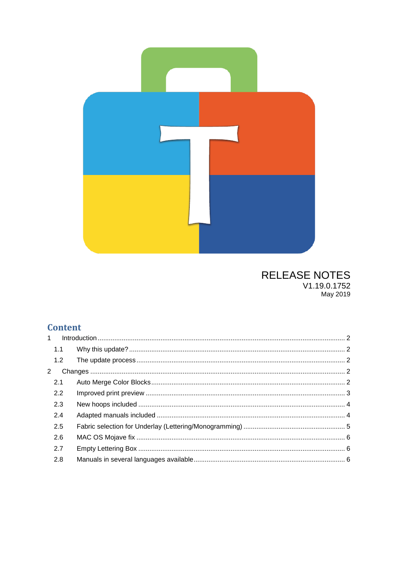

# **RELEASE NOTES** V1.19.0.1752<br>May 2019

## **Content**

| 1 |     |  |
|---|-----|--|
|   | 1.1 |  |
|   | 1.2 |  |
| 2 |     |  |
|   | 2.1 |  |
|   | 2.2 |  |
|   | 2.3 |  |
|   | 2.4 |  |
|   | 2.5 |  |
|   | 2.6 |  |
|   | 2.7 |  |
|   | 2.8 |  |
|   |     |  |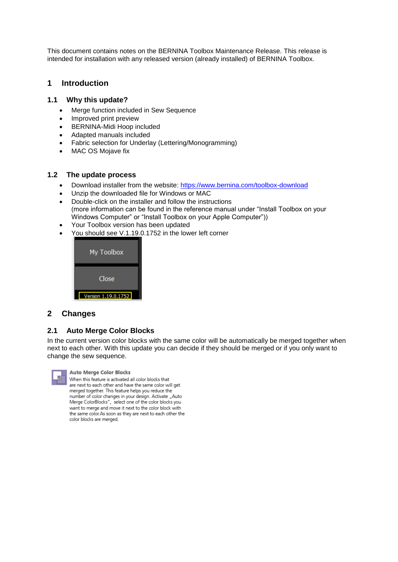This document contains notes on the BERNINA Toolbox Maintenance Release. This release is intended for installation with any released version (already installed) of BERNINA Toolbox.

### <span id="page-1-0"></span>**1 Introduction**

#### <span id="page-1-1"></span>**1.1 Why this update?**

- Merge function included in Sew Sequence
- Improved print preview
- BERNINA-Midi Hoop included
- Adapted manuals included
- Fabric selection for Underlay (Lettering/Monogramming)
- MAC OS Mojave fix

#### <span id="page-1-2"></span>**1.2 The update process**

- Download installer from the website:<https://www.bernina.com/toolbox-download>
- Unzip the downloaded file for Windows or MAC
- Double-click on the installer and follow the instructions (more information can be found in the reference manual under "Install Toolbox on your Windows Computer" or "Install Toolbox on your Apple Computer"))
- Your Toolbox version has been updated
- You should see V.1.19.0.1752 in the lower left corner



#### <span id="page-1-3"></span>**2 Changes**

#### <span id="page-1-4"></span>**2.1 Auto Merge Color Blocks**

In the current version color blocks with the same color will be automatically be merged together when next to each other. With this update you can decide if they should be merged or if you only want to change the sew sequence.



**Auto Merge Color Blocks** When this feature is activated all color blocks that are next to each other and have the same color will get merged together. This feature helps you reduce the number of color changes in your design. Activate "Auto Merge ColorBlocks", select one of the color blocks you want to merge and move it next to the color block with the same color. As soon as they are next to each other the color blocks are merged.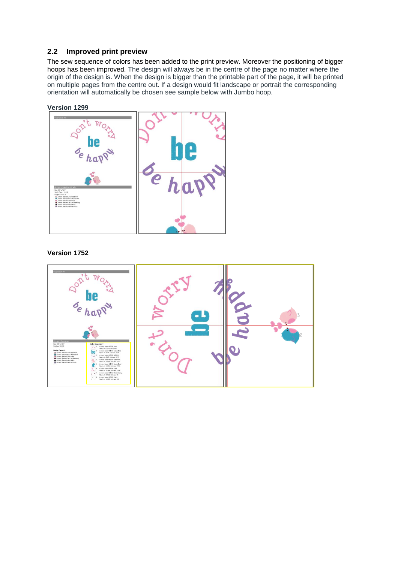#### <span id="page-2-0"></span>**2.2 Improved print preview**

The sew sequence of colors has been added to the print preview. Moreover the positioning of bigger hoops has been improved. The design will always be in the centre of the page no matter where the origin of the design is. When the design is bigger than the printable part of the page, it will be printed on multiple pages from the centre out. If a design would fit landscape or portrait the corresponding orientation will automatically be chosen see sample below with Jumbo hoop.

#### **Version 1299**



#### **Version 1752**

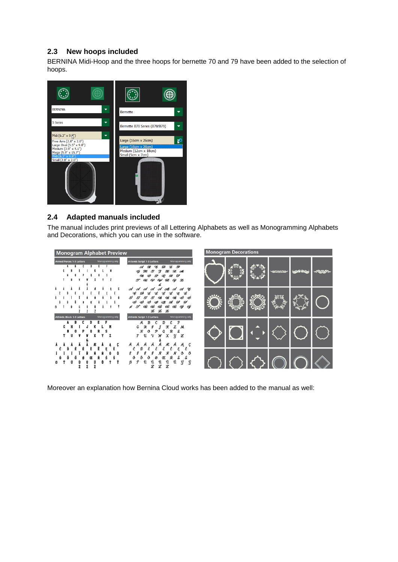## <span id="page-3-0"></span>**2.3 New hoops included**

BERNINA Midi-Hoop and the three hoops for bernette 70 and 79 have been added to the selection of hoops.



#### <span id="page-3-1"></span>**2.4 Adapted manuals included**

The manual includes print previews of all Lettering Alphabets as well as Monogramming Alphabets and Decorations, which you can use in the software.



Moreover an explanation how Bernina Cloud works has been added to the manual as well: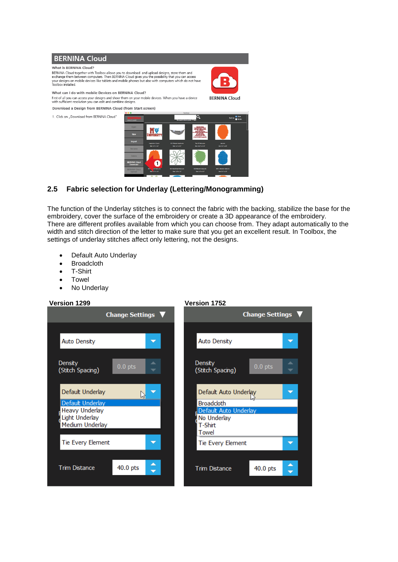

## <span id="page-4-0"></span>**2.5 Fabric selection for Underlay (Lettering/Monogramming)**

The function of the Underlay stitches is to connect the fabric with the backing, stabilize the base for the embroidery, cover the surface of the embroidery or create a 3D appearance of the embroidery. There are different profiles available from which you can choose from. They adapt automatically to the width and stitch direction of the letter to make sure that you get an excellent result. In Toolbox, the settings of underlay stitches affect only lettering, not the designs.

- Default Auto Underlay
- Broadcloth
- T-Shirt
- Towel
- No Underlay

#### **Version 1299 Version 1752**

<span id="page-4-1"></span>

| <b>Change Settings</b>                   |           |   |  | <b>Change Settings</b>             |            |   |  |
|------------------------------------------|-----------|---|--|------------------------------------|------------|---|--|
|                                          |           |   |  |                                    |            |   |  |
| <b>Auto Density</b>                      |           |   |  | <b>Auto Density</b>                |            |   |  |
| <b>Density</b><br>(Stitch Spacing)       | $0.0$ pts | ┳ |  | <b>Density</b><br>(Stitch Spacing) | $0.0$ pts  | ┳ |  |
| Default Underlay                         |           |   |  | Default Auto Underlay              |            | ≂ |  |
| Default Underlay                         |           |   |  | <b>Broadcloth</b>                  |            |   |  |
| <b>Heavy Underlay</b>                    |           |   |  | Default Auto Underlay              |            |   |  |
| <b>Light Underlay</b><br>Medium Underlay |           |   |  | No Underlay<br>T-Shirt             |            |   |  |
|                                          |           |   |  | Towel                              |            |   |  |
| Tie Every Element                        |           | ≂ |  | Tie Every Element                  |            | ≂ |  |
|                                          |           |   |  |                                    |            |   |  |
| <b>Trim Distance</b>                     | 40.0 pts  | ▲ |  | <b>Trim Distance</b>               | $40.0$ pts |   |  |
|                                          |           |   |  |                                    |            |   |  |